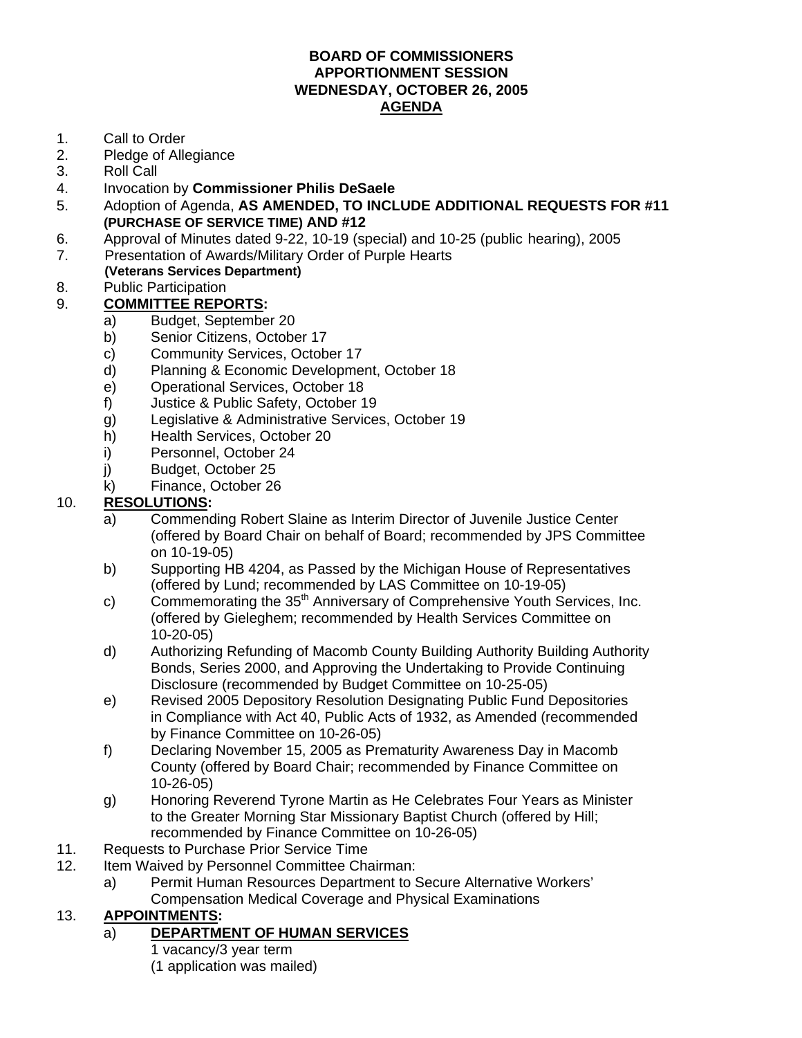#### **BOARD OF COMMISSIONERS APPORTIONMENT SESSION WEDNESDAY, OCTOBER 26, 2005 AGENDA**

- 1. Call to Order
- 2. Pledge of Allegiance
- 3. Roll Call
- 4. Invocation by **Commissioner Philis DeSaele**
- 5. Adoption of Agenda, **AS AMENDED, TO INCLUDE ADDITIONAL REQUESTS FOR #11 (PURCHASE OF SERVICE TIME) AND #12**
- 6. Approval of Minutes dated 9-22, 10-19 (special) and 10-25 (public hearing), 2005
- 7. Presentation of Awards/Military Order of Purple Hearts
- **(Veterans Services Department)**  8. Public Participation

## 9. **COMMITTEE REPORTS:**

- a) Budget, September 20
- b) Senior Citizens, October 17
- c) Community Services, October 17
- d) Planning & Economic Development, October 18
- e) Operational Services, October 18
- f) Justice & Public Safety, October 19
- g) Legislative & Administrative Services, October 19
- h) Health Services, October 20
- i) Personnel, October 24
- j) Budget, October 25
- k) Finance, October 26

### 10. **RESOLUTIONS:**

- a) Commending Robert Slaine as Interim Director of Juvenile Justice Center (offered by Board Chair on behalf of Board; recommended by JPS Committee on 10-19-05)
- b) Supporting HB 4204, as Passed by the Michigan House of Representatives (offered by Lund; recommended by LAS Committee on 10-19-05)
- c) Commemorating the  $35<sup>th</sup>$  Anniversary of Comprehensive Youth Services, Inc. (offered by Gieleghem; recommended by Health Services Committee on 10-20-05)
- d) Authorizing Refunding of Macomb County Building Authority Building Authority Bonds, Series 2000, and Approving the Undertaking to Provide Continuing Disclosure (recommended by Budget Committee on 10-25-05)
- e) Revised 2005 Depository Resolution Designating Public Fund Depositories in Compliance with Act 40, Public Acts of 1932, as Amended (recommended by Finance Committee on 10-26-05)
- f) Declaring November 15, 2005 as Prematurity Awareness Day in Macomb County (offered by Board Chair; recommended by Finance Committee on 10-26-05)
- g) Honoring Reverend Tyrone Martin as He Celebrates Four Years as Minister to the Greater Morning Star Missionary Baptist Church (offered by Hill; recommended by Finance Committee on 10-26-05)
- 11. Requests to Purchase Prior Service Time
- 12. Item Waived by Personnel Committee Chairman:
	- a) Permit Human Resources Department to Secure Alternative Workers' Compensation Medical Coverage and Physical Examinations

### 13. **APPOINTMENTS:**

### a) **DEPARTMENT OF HUMAN SERVICES**

- 1 vacancy/3 year term
- (1 application was mailed)